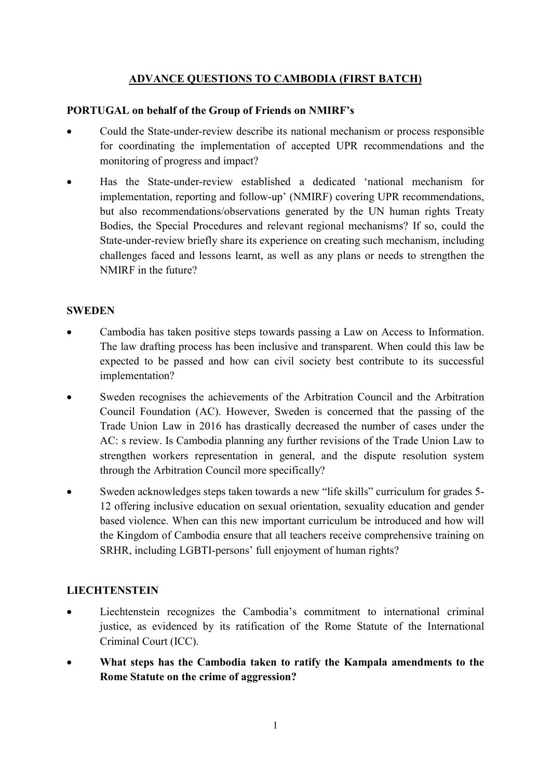# ADVANCE QUESTIONS TO CAMBODIA (FIRST BATCH)

### PORTUGAL on behalf of the Group of Friends on NMIRF's

- Could the State-under-review describe its national mechanism or process responsible for coordinating the implementation of accepted UPR recommendations and the monitoring of progress and impact?
- Has the State-under-review established a dedicated 'national mechanism for implementation, reporting and follow-up' (NMIRF) covering UPR recommendations, but also recommendations/observations generated by the UN human rights Treaty Bodies, the Special Procedures and relevant regional mechanisms? If so, could the State-under-review briefly share its experience on creating such mechanism, including challenges faced and lessons learnt, as well as any plans or needs to strengthen the NMIRF in the future?

#### **SWEDEN**

- Cambodia has taken positive steps towards passing a Law on Access to Information. The law drafting process has been inclusive and transparent. When could this law be expected to be passed and how can civil society best contribute to its successful implementation?
- Sweden recognises the achievements of the Arbitration Council and the Arbitration Council Foundation (AC). However, Sweden is concerned that the passing of the Trade Union Law in 2016 has drastically decreased the number of cases under the AC: s review. Is Cambodia planning any further revisions of the Trade Union Law to strengthen workers representation in general, and the dispute resolution system through the Arbitration Council more specifically?
- Sweden acknowledges steps taken towards a new "life skills" curriculum for grades 5- 12 offering inclusive education on sexual orientation, sexuality education and gender based violence. When can this new important curriculum be introduced and how will the Kingdom of Cambodia ensure that all teachers receive comprehensive training on SRHR, including LGBTI-persons' full enjoyment of human rights?

### **LIECHTENSTEIN**

- Liechtenstein recognizes the Cambodia's commitment to international criminal justice, as evidenced by its ratification of the Rome Statute of the International Criminal Court (ICC).
- What steps has the Cambodia taken to ratify the Kampala amendments to the Rome Statute on the crime of aggression?